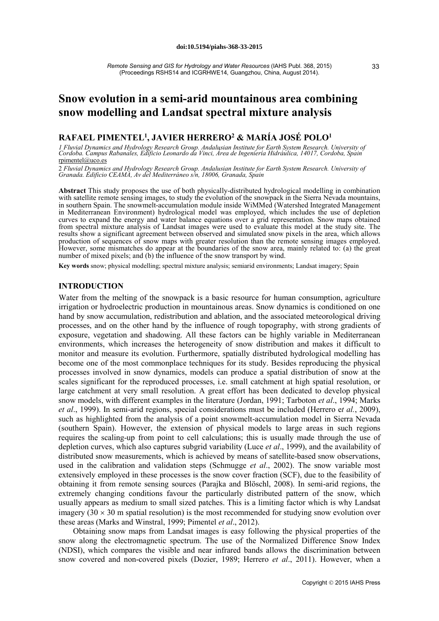# **Snow evolution in a semi-arid mountainous area combining snow modelling and Landsat spectral mixture analysis**

# **RAFAEL PIMENTEL1, JAVIER HERRERO2 & MARÍA JOSÉ POLO1**

I Fluvial Dynamics and Hydrology Research Group. Andalusian Institute for Earth System Research. University of<br>Cordoba. Campus Rabanales, Edificio Leonardo da Vinci, Area de Ingeniería Hidráulica, 14017, Cordoba, Spain rpimentel@uco.es

2 *Fluvial Dynamics and Hydrology Research Group. Andalusian Institute for Earth System Research. University of Granada. Edificio CEAMA, Av del Mediterráneo s/n, 18006, Granada, Spain*

Abstract This study proposes the use of both physically-distributed hydrological modelling in combination with satellite remote sensing images, to study the evolution of the snowpack in the Sierra Nevada mountains, in southern Spain. The snowmelt-accumulation module inside WiMMed (Watershed Integrated Management in Mediterranean Environment) hydrological model was employed, which includes the use of depletion curves to expand the energy and water balance equations over a grid representation. Snow maps obtained from spectral mixture analysis of Landsat images were used to evaluate this model at the study site. The results show a significant agreement between observed and simulated snow pixels in the area, which allows production of sequences of snow maps with greater resolution than the remote sensing images employed. However, some mismatches do appear at the boundaries of the snow area, mainly related to: (a) the great number of mixed pixels; and (b) the influence of the snow transport by wind.

**Key words** snow; physical modelling; spectral mixture analysis; semiarid environments; Landsat imagery; Spain

# **INTRODUCTION**

Water from the melting of the snowpack is a basic resource for human consumption, agriculture irrigation or hydroelectric production in mountainous areas. Snow dynamics is conditioned on one hand by snow accumulation, redistribution and ablation, and the associated meteorological driving processes, and on the other hand by the influence of rough topography, with strong gradients of exposure, vegetation and shadowing. All these factors can be highly variable in Mediterranean environments, which increases the heterogeneity of snow distribution and makes it difficult to monitor and measure its evolution. Furthermore, spatially distributed hydrological modelling has become one of the most commonplace techniques for its study. Besides reproducing the physical processes involved in snow dynamics, models can produce a spatial distribution of snow at the scales significant for the reproduced processes, i.e. small catchment at high spatial resolution, or large catchment at very small resolution. A great effort has been dedicated to develop physical snow models, with different examples in the literature (Jordan, 1991; Tarboton *et al*., 1994; Marks *et al*., 1999). In semi-arid regions, special considerations must be included (Herrero e*t al.*, 2009), such as highlighted from the analysis of a point snowmelt-accumulation model in Sierra Nevada (southern Spain). However, the extension of physical models to large areas in such regions requires the scaling-up from point to cell calculations; this is usually made through the use of depletion curves, which also captures subgrid variability (Luce *et al*., 1999), and the availability of distributed snow measurements, which is achieved by means of satellite-based snow observations, used in the calibration and validation steps (Schmugge *et al*., 2002). The snow variable most extensively employed in these processes is the snow cover fraction (SCF), due to the feasibility of obtaining it from remote sensing sources (Parajka and Blöschl, 2008). In semi-arid regions, the extremely changing conditions favour the particularly distributed pattern of the snow, which usually appears as medium to small sized patches. This is a limiting factor which is why Landsat imagery  $(30 \times 30 \text{ m}$  spatial resolution) is the most recommended for studying snow evolution over these areas (Marks and Winstral, 1999; Pimentel *et al*., 2012).

Obtaining snow maps from Landsat images is easy following the physical properties of the snow along the electromagnetic spectrum. The use of the Normalized Difference Snow Index (NDSI), which compares the visible and near infrared bands allows the discrimination between snow covered and non-covered pixels (Dozier, 1989; Herrero *et al*., 2011). However, when a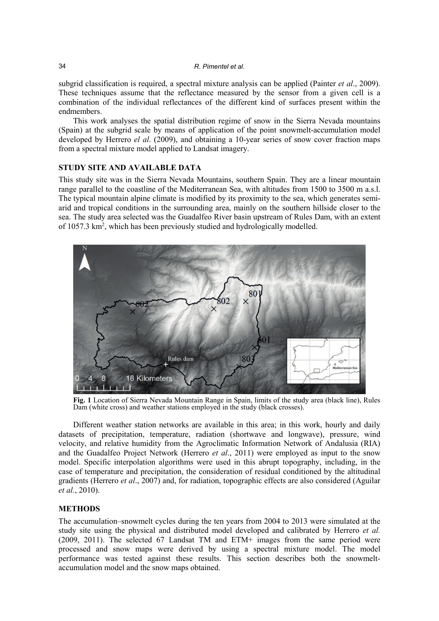subgrid classification is required, a spectral mixture analysis can be applied (Painter *et al*., 2009). These techniques assume that the reflectance measured by the sensor from a given cell is a combination of the individual reflectances of the different kind of surfaces present within the endmembers.

This work analyses the spatial distribution regime of snow in the Sierra Nevada mountains (Spain) at the subgrid scale by means of application of the point snowmelt-accumulation model developed by Herrero *el al*. (2009), and obtaining a 10-year series of snow cover fraction maps from a spectral mixture model applied to Landsat imagery.

# **STUDY SITE AND AVAILABLE DATA**

This study site was in the Sierra Nevada Mountains, southern Spain. They are a linear mountain range parallel to the coastline of the Mediterranean Sea, with altitudes from 1500 to 3500 m a.s.l. The typical mountain alpine climate is modified by its proximity to the sea, which generates semiarid and tropical conditions in the surrounding area, mainly on the southern hillside closer to the sea. The study area selected was the Guadalfeo River basin upstream of Rules Dam, with an extent of 1057.3 km2 , which has been previously studied and hydrologically modelled.



**Fig. 1** Location of Sierra Nevada Mountain Range in Spain, limits of the study area (black line), Rules Dam (white cross) and weather stations employed in the study (black crosses).

Different weather station networks are available in this area; in this work, hourly and daily datasets of precipitation, temperature, radiation (shortwave and longwave), pressure, wind velocity, and relative humidity from the Agroclimatic Information Network of Andalusia (RIA) and the Guadalfeo Project Network (Herrero *et al*., 2011) were employed as input to the snow model. Specific interpolation algorithms were used in this abrupt topography, including, in the case of temperature and precipitation, the consideration of residual conditioned by the altitudinal gradients (Herrero *et al*., 2007) and, for radiation, topographic effects are also considered (Aguilar *et al.*, 2010).

# **METHODS**

The accumulation–snowmelt cycles during the ten years from 2004 to 2013 were simulated at the study site using the physical and distributed model developed and calibrated by Herrero *et al.* (2009, 2011). The selected 67 Landsat TM and ETM+ images from the same period were processed and snow maps were derived by using a spectral mixture model. The model performance was tested against these results. This section describes both the snowmeltaccumulation model and the snow maps obtained.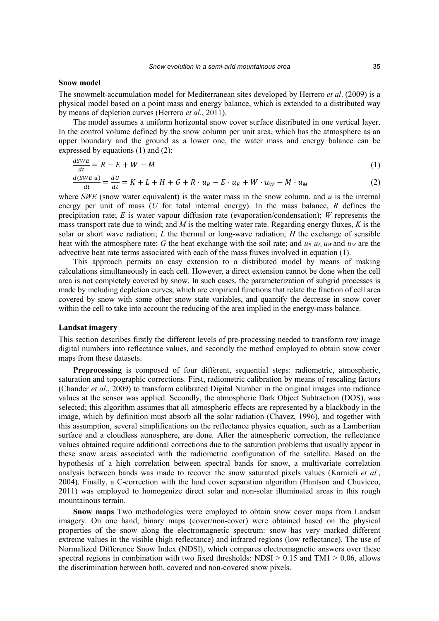#### **Snow model**

The snowmelt-accumulation model for Mediterranean sites developed by Herrero *et al*. (2009) is a physical model based on a point mass and energy balance, which is extended to a distributed way by means of depletion curves (Herrero *et al.*, 2011).

The model assumes a uniform horizontal snow cover surface distributed in one vertical layer. In the control volume defined by the snow column per unit area, which has the atmosphere as an upper boundary and the ground as a lower one, the water mass and energy balance can be expressed by equations (1) and (2):

$$
\frac{dSWE}{dt} = R - E + W - M
$$
\n
$$
\frac{d(SWE \cdot u)}{dt} = \frac{dU}{dt} = K + L + H + G + R \cdot u_R - E \cdot u_E + W \cdot u_W - M \cdot u_M
$$
\n(1)

where *SWE* (snow water equivalent) is the water mass in the snow column, and  $u$  is the internal energy per unit of mass (*U* for total internal energy). In the mass balance, *R* defines the precipitation rate; *E* is water vapour diffusion rate (evaporation/condensation); *W* represents the mass transport rate due to wind; and *M* is the melting water rate. Regarding energy fluxes, *K* is the solar or short wave radiation; *L* the thermal or long-wave radiation; *H* the exchange of sensible heat with the atmosphere rate; *G* the heat exchange with the soil rate; and  $u_R$ ,  $u_E$ ,  $u_W$  and  $u_M$  are the advective heat rate terms associated with each of the mass fluxes involved in equation (1).

This approach permits an easy extension to a distributed model by means of making calculations simultaneously in each cell. However, a direct extension cannot be done when the cell area is not completely covered by snow. In such cases, the parameterization of subgrid processes is made by including depletion curves, which are empirical functions that relate the fraction of cell area covered by snow with some other snow state variables, and quantify the decrease in snow cover within the cell to take into account the reducing of the area implied in the energy-mass balance.

## **Landsat imagery**

This section describes firstly the different levels of pre-processing needed to transform row image digital numbers into reflectance values, and secondly the method employed to obtain snow cover maps from these datasets.

**Preprocessing** is composed of four different, sequential steps: radiometric, atmospheric, saturation and topographic corrections. First, radiometric calibration by means of rescaling factors (Chander *et al*., 2009) to transform calibrated Digital Number in the original images into radiance values at the sensor was applied. Secondly, the atmospheric Dark Object Subtraction (DOS), was selected; this algorithm assumes that all atmospheric effects are represented by a blackbody in the image, which by definition must absorb all the solar radiation (Chavez, 1996), and together with this assumption, several simplifications on the reflectance physics equation, such as a Lambertian surface and a cloudless atmosphere, are done. After the atmospheric correction, the reflectance values obtained require additional corrections due to the saturation problems that usually appear in these snow areas associated with the radiometric configuration of the satellite. Based on the hypothesis of a high correlation between spectral bands for snow, a multivariate correlation analysis between bands was made to recover the snow saturated pixels values (Karnieli *et al.*, 2004). Finally, a C-correction with the land cover separation algorithm (Hantson and Chuvieco, 2011) was employed to homogenize direct solar and non-solar illuminated areas in this rough mountainous terrain.

**Snow maps** Two methodologies were employed to obtain snow cover maps from Landsat imagery. On one hand, binary maps (cover/non-cover) were obtained based on the physical properties of the snow along the electromagnetic spectrum: snow has very marked different extreme values in the visible (high reflectance) and infrared regions (low reflectance). The use of Normalized Difference Snow Index (NDSI), which compares electromagnetic answers over these spectral regions in combination with two fixed thresholds:  $NDSI > 0.15$  and  $TM1 > 0.06$ , allows the discrimination between both, covered and non-covered snow pixels.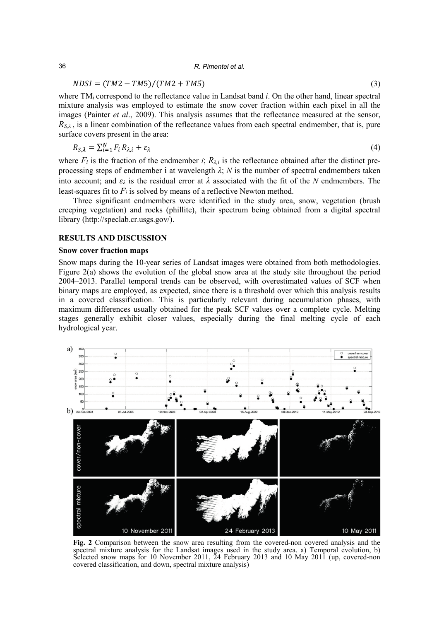#### 36 *R. Pimentel et al.*

# $NDSI = (TM2 - TM5)/(TM2 + TM5)$  (3)

where TMi correspond to the reflectance value in Landsat band *i*. On the other hand, linear spectral mixture analysis was employed to estimate the snow cover fraction within each pixel in all the images (Painter *et al*., 2009). This analysis assumes that the reflectance measured at the sensor,  $R_{S,\lambda}$ , is a linear combination of the reflectance values from each spectral endmember, that is, pure surface covers present in the area:

$$
R_{\mathcal{S},\lambda} = \sum_{i=1}^{N} F_i R_{\lambda,i} + \varepsilon_{\lambda} \tag{4}
$$

where  $F_i$  is the fraction of the endmember  $i$ ;  $R_{\lambda,i}$  is the reflectance obtained after the distinct preprocessing steps of endmember i at wavelength  $\lambda$ ;  $N$  is the number of spectral endmembers taken into account; and *ελ* is the residual error at *λ* associated with the fit of the *N* endmembers. The least-squares fit to  $F_i$  is solved by means of a reflective Newton method.

Three significant endmembers were identified in the study area, snow, vegetation (brush creeping vegetation) and rocks (phillite), their spectrum being obtained from a digital spectral library (http://speclab.cr.usgs.gov/).

# **RESULTS AND DISCUSSION**

### **Snow cover fraction maps**

Snow maps during the 10-year series of Landsat images were obtained from both methodologies. Figure 2(a) shows the evolution of the global snow area at the study site throughout the period 2004–2013. Parallel temporal trends can be observed, with overestimated values of SCF when binary maps are employed, as expected, since there is a threshold over which this analysis results in a covered classification. This is particularly relevant during accumulation phases, with maximum differences usually obtained for the peak SCF values over a complete cycle. Melting stages generally exhibit closer values, especially during the final melting cycle of each hydrological year.



**Fig. 2** Comparison between the snow area resulting from the covered-non covered analysis and the spectral mixture analysis for the Landsat images used in the study area. a) Temporal evolution, b) Selected snow maps for 10 November 2011,  $\overline{2}4$  February 2013 and 10 May 2011 (up, covered-non covered classification, and down, spectral mixture analysis)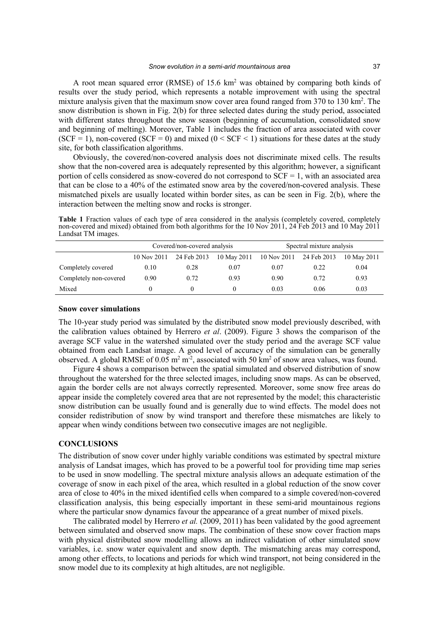A root mean squared error (RMSE) of 15.6  $km<sup>2</sup>$  was obtained by comparing both kinds of results over the study period, which represents a notable improvement with using the spectral mixture analysis given that the maximum snow cover area found ranged from 370 to 130 km<sup>2</sup>. The snow distribution is shown in Fig. 2(b) for three selected dates during the study period, associated with different states throughout the snow season (beginning of accumulation, consolidated snow and beginning of melting). Moreover, Table 1 includes the fraction of area associated with cover (SCF = 1), non-covered (SCF = 0) and mixed ( $0 \leq$  SCF  $\leq$  1) situations for these dates at the study site, for both classification algorithms.

Obviously, the covered/non-covered analysis does not discriminate mixed cells. The results show that the non-covered area is adequately represented by this algorithm; however, a significant portion of cells considered as snow-covered do not correspond to  $SCF = 1$ , with an associated area that can be close to a 40% of the estimated snow area by the covered/non-covered analysis. These mismatched pixels are usually located within border sites, as can be seen in Fig. 2(b), where the interaction between the melting snow and rocks is stronger.

**Table 1** Fraction values of each type of area considered in the analysis (completely covered, completely non-covered and mixed) obtained from both algorithms for the 10 Nov 2011, 24 Feb 2013 and 10 May 2011 Landsat TM images.

|                        | Covered/non-covered analysis |             |                         | Spectral mixture analysis |             |             |
|------------------------|------------------------------|-------------|-------------------------|---------------------------|-------------|-------------|
|                        | 10 Nov 2011                  | 24 Feb 2013 | 10 May 2011 10 Nov 2011 |                           | 24 Feb 2013 | 10 May 2011 |
| Completely covered     | 0.10                         | 0.28        | 0.07                    | 0.07                      | 0.22        | 0.04        |
| Completely non-covered | 0.90                         | 0.72        | 0.93                    | 0.90                      | 0.72        | 0.93        |
| Mixed                  |                              |             |                         | 0.03                      | 0.06        | 0.03        |

#### **Snow cover simulations**

The 10-year study period was simulated by the distributed snow model previously described, with the calibration values obtained by Herrero *et al*. (2009). Figure 3 shows the comparison of the average SCF value in the watershed simulated over the study period and the average SCF value obtained from each Landsat image. A good level of accuracy of the simulation can be generally observed. A global RMSE of 0.05  $m^2 m^2$ , associated with 50 km<sup>2</sup> of snow area values, was found.

Figure 4 shows a comparison between the spatial simulated and observed distribution of snow throughout the watershed for the three selected images, including snow maps. As can be observed, again the border cells are not always correctly represented. Moreover, some snow free areas do appear inside the completely covered area that are not represented by the model; this characteristic snow distribution can be usually found and is generally due to wind effects. The model does not consider redistribution of snow by wind transport and therefore these mismatches are likely to appear when windy conditions between two consecutive images are not negligible.

## **CONCLUSIONS**

The distribution of snow cover under highly variable conditions was estimated by spectral mixture analysis of Landsat images, which has proved to be a powerful tool for providing time map series to be used in snow modelling. The spectral mixture analysis allows an adequate estimation of the coverage of snow in each pixel of the area, which resulted in a global reduction of the snow cover area of close to 40% in the mixed identified cells when compared to a simple covered/non-covered classification analysis, this being especially important in these semi-arid mountainous regions where the particular snow dynamics favour the appearance of a great number of mixed pixels.

The calibrated model by Herrero *et al.* (2009, 2011) has been validated by the good agreement between simulated and observed snow maps. The combination of these snow cover fraction maps with physical distributed snow modelling allows an indirect validation of other simulated snow variables, i.e. snow water equivalent and snow depth. The mismatching areas may correspond, among other effects, to locations and periods for which wind transport, not being considered in the snow model due to its complexity at high altitudes, are not negligible.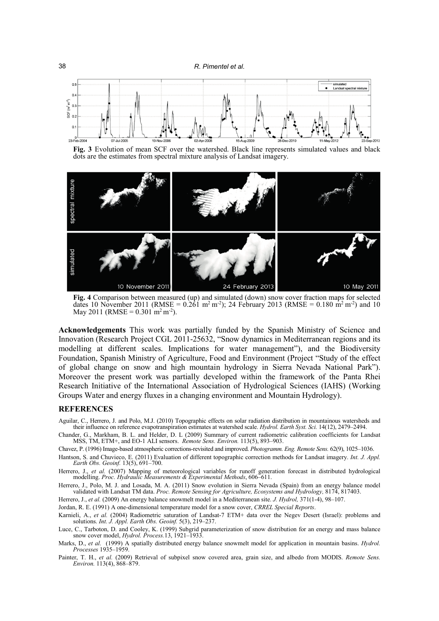38 *R. Pimentel et al.*



**Fig. 3** Evolution of mean SCF over the watershed. Black line represents simulated values and black dots are the estimates from spectral mixture analysis of Landsat imagery.



**Fig. 4** Comparison between measured (up) and simulated (down) snow cover fraction maps for selected dates 10 November 2011 (RMSE =  $0.\overline{261}$  m<sup>2</sup> m<sup>-2</sup>); 24 February 2013 (RMSE =  $0.180$  m<sup>2</sup> m<sup>-2</sup>) and 10 May 2011 (RMSE =  $0.301 \text{ m}^2 \text{ m}^2$ ).

**Acknowledgements** This work was partially funded by the Spanish Ministry of Science and Innovation (Research Project CGL 2011-25632, "Snow dynamics in Mediterranean regions and its modelling at different scales. Implications for water management"), and the Biodiversity Foundation, Spanish Ministry of Agriculture, Food and Environment (Project "Study of the effect of global change on snow and high mountain hydrology in Sierra Nevada National Park"). Moreover the present work was partially developed within the framework of the Panta Rhei Research Initiative of the International Association of Hydrological Sciences (IAHS) (Working Groups Water and energy fluxes in a changing environment and Mountain Hydrology).

## **REFERENCES**

Aguilar, C., Herrero, J. and Polo, M.J. (2010) Topographic effects on solar radiation distribution in mountainous watersheds and their influence on reference evapotranspiration estimates at watershed scale. *Hydrol. Earth Syst. Sci.* 14(12), 2479–2494.

Chander, G., Markham, B. L. and Helder, D. L (2009) Summary of current radiometric calibration coefficients for Landsat MSS, TM, ETM+, and EO-1 ALI sensors. *Remote Sens. Environ.* 113(5), 893–903.

Chavez, P. (1996) Image-based atmospheric corrections-revisited and improved. *Photogramm. Eng. Remote Sens.* 62(9), 1025–1036.

Hantson, S. and Chuvieco, E. (2011) Evaluation of different topographic correction methods for Landsat imagery. *Int. J. Appl. Earth Obs. Geoinf.* 13(5), 691–700.

Herrero, J., et al. (2007) Mapping of meteorological variables for runoff generation forecast in distributed hydrological modelling. *Proc. Hydraulic Measurements & Experimental Methods*, 606–611.

Herrero, J., Polo, M. J. and Losada, M. A. (2011) Snow evolution in Sierra Nevada (Spain) from an energy balance model validated with Landsat TM data. *Proc. Remote Sensing for Agriculture, Ecosystems and Hydrology,* 8174, 817403.

Herrero, J., *et al.* (2009) An energy balance snowmelt model in a Mediterranean site. *J. Hydrol,* 371(1-4), 98–107.

Jordan, R. E. (1991) A one-dimensional temperature model for a snow cover, *CRREL Special Reports*.

Karnieli, A., *et al.* (2004) Radiometric saturation of Landsat-7 ETM+ data over the Negev Desert (Israel): problems and solutions. *Int. J. Appl. Earth Obs. Geoinf.* 5(3), 219–237.

Luce, C., Tarboton, D. and Cooley, K. (1999) Subgrid parameterization of snow distribution for an energy and mass balance snow cover model, *Hydrol. Process.*13, 1921–1933.

Marks, D., *et al.* (1999) A spatially distributed energy balance snowmelt model for application in mountain basins. *Hydrol. Processes* 1935–1959.

Painter, T. H., *et al.* (2009) Retrieval of subpixel snow covered area, grain size, and albedo from MODIS. *Remote Sens. Environ.* 113(4), 868–879.